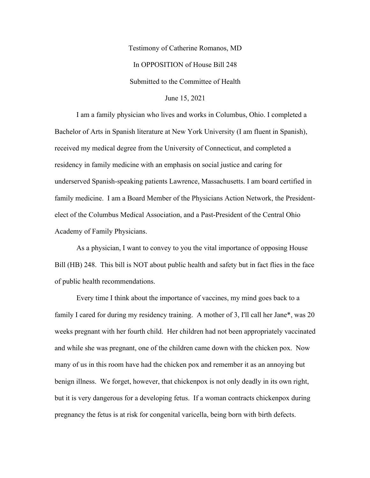Testimony of Catherine Romanos, MD In OPPOSITION of House Bill 248 Submitted to the Committee of Health

June 15, 2021

I am a family physician who lives and works in Columbus, Ohio. I completed a Bachelor of Arts in Spanish literature at New York University (I am fluent in Spanish), received my medical degree from the University of Connecticut, and completed a residency in family medicine with an emphasis on social justice and caring for underserved Spanish-speaking patients Lawrence, Massachusetts. I am board certified in family medicine. I am a Board Member of the Physicians Action Network, the Presidentelect of the Columbus Medical Association, and a Past-President of the Central Ohio Academy of Family Physicians.

As a physician, I want to convey to you the vital importance of opposing House Bill (HB) 248. This bill is NOT about public health and safety but in fact flies in the face of public health recommendations.

Every time I think about the importance of vaccines, my mind goes back to a family I cared for during my residency training. A mother of 3, I'll call her Jane\*, was 20 weeks pregnant with her fourth child. Her children had not been appropriately vaccinated and while she was pregnant, one of the children came down with the chicken pox. Now many of us in this room have had the chicken pox and remember it as an annoying but benign illness. We forget, however, that chickenpox is not only deadly in its own right, but it is very dangerous for a developing fetus. If a woman contracts chickenpox during pregnancy the fetus is at risk for congenital varicella, being born with birth defects.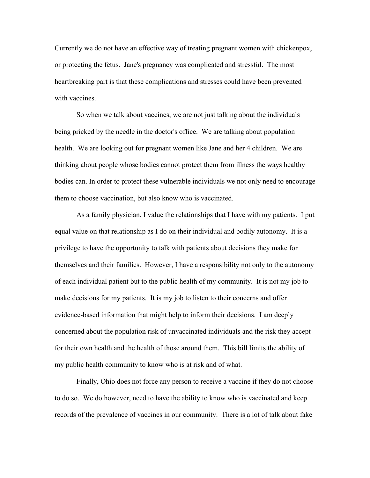Currently we do not have an effective way of treating pregnant women with chickenpox, or protecting the fetus. Jane's pregnancy was complicated and stressful. The most heartbreaking part is that these complications and stresses could have been prevented with vaccines.

So when we talk about vaccines, we are not just talking about the individuals being pricked by the needle in the doctor's office. We are talking about population health. We are looking out for pregnant women like Jane and her 4 children. We are thinking about people whose bodies cannot protect them from illness the ways healthy bodies can. In order to protect these vulnerable individuals we not only need to encourage them to choose vaccination, but also know who is vaccinated.

As a family physician, I value the relationships that I have with my patients. I put equal value on that relationship as I do on their individual and bodily autonomy. It is a privilege to have the opportunity to talk with patients about decisions they make for themselves and their families. However, I have a responsibility not only to the autonomy of each individual patient but to the public health of my community. It is not my job to make decisions for my patients. It is my job to listen to their concerns and offer evidence-based information that might help to inform their decisions. I am deeply concerned about the population risk of unvaccinated individuals and the risk they accept for their own health and the health of those around them. This bill limits the ability of my public health community to know who is at risk and of what.

Finally, Ohio does not force any person to receive a vaccine if they do not choose to do so. We do however, need to have the ability to know who is vaccinated and keep records of the prevalence of vaccines in our community. There is a lot of talk about fake